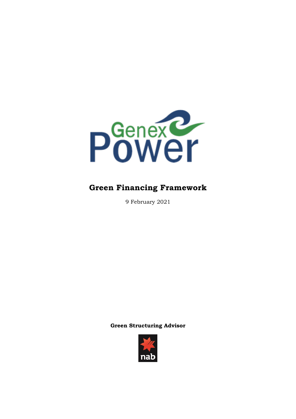

# **Green Financing Framework**

9 February 2021

**Green Structuring Advisor**

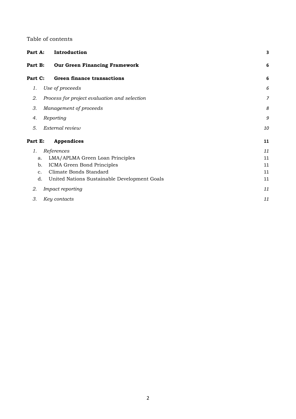#### Table of contents

| Part A:       | Introduction                                 | 3              |
|---------------|----------------------------------------------|----------------|
| Part B:       | <b>Our Green Financing Framework</b>         | 6              |
| Part C:       | <b>Green finance transactions</b>            | 6              |
| 1.            | Use of proceeds                              | 6              |
| 2.            | Process for project evaluation and selection | $\overline{7}$ |
| 3.            | Management of proceeds                       | 8              |
| 4.            | Reporting                                    | 9              |
| 5.            | External review                              | 10             |
| Part E:       | <b>Appendices</b>                            | 11             |
| 1.            | References                                   | 11             |
| a.            | LMA/APLMA Green Loan Principles              | 11             |
| b.            | ICMA Green Bond Principles                   | 11             |
| $C_{\bullet}$ | Climate Bonds Standard                       | 11             |
| d.            | United Nations Sustainable Development Goals | 11             |
| 2.            | Impact reporting                             | 11             |
| 3.            | Key contacts                                 | 11             |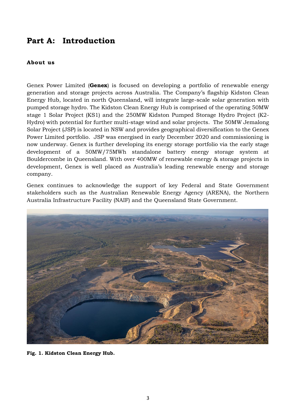### **Part A: Introduction**

#### **About us**

Genex Power Limited (**Genex**) is focused on developing a portfolio of renewable energy generation and storage projects across Australia. The Company's flagship Kidston Clean Energy Hub, located in north Queensland, will integrate large-scale solar generation with pumped storage hydro. The Kidston Clean Energy Hub is comprised of the operating 50MW stage 1 Solar Project (KS1) and the 250MW Kidston Pumped Storage Hydro Project (K2- Hydro) with potential for further multi-stage wind and solar projects. The 50MW Jemalong Solar Project (JSP) is located in NSW and provides geographical diversification to the Genex Power Limited portfolio. JSP was energised in early December 2020 and commissioning is now underway. Genex is further developing its energy storage portfolio via the early stage development of a 50MW/75MWh standalone battery energy storage system at Bouldercombe in Queensland. With over 400MW of renewable energy & storage projects in development, Genex is well placed as Australia's leading renewable energy and storage company.

Genex continues to acknowledge the support of key Federal and State Government stakeholders such as the Australian Renewable Energy Agency (ARENA), the Northern Australia Infrastructure Facility (NAIF) and the Queensland State Government.



**Fig. 1. Kidston Clean Energy Hub.**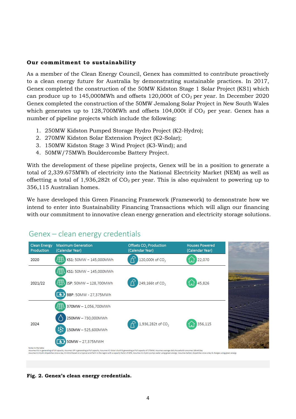#### **Our commitment to sustainability**

As a member of the Clean Energy Council, Genex has committed to contribute proactively to a clean energy future for Australia by demonstrating sustainable practices. In 2017, Genex completed the construction of the 50MW Kidston Stage 1 Solar Project (KS1) which can produce up to 145,000MWh and offsets 120,000t of  $CO<sub>2</sub>$  per year. In December 2020 Genex completed the construction of the 50MW Jemalong Solar Project in New South Wales which generates up to  $128,700$ MWh and offsets  $104,000t$  if  $CO<sub>2</sub>$  per year. Genex has a number of pipeline projects which include the following:

- 1. 250MW Kidston Pumped Storage Hydro Project (K2-Hydro);
- 2. 270MW Kidston Solar Extension Project (K2-Solar);
- 3. 150MW Kidston Stage 3 Wind Project (K3-Wind); and
- 4. 50MW/75MWh Bouldercombe Battery Project.

With the development of these pipeline projects, Genex will be in a position to generate a total of 2,339.675MWh of electricity into the National Electricity Market (NEM) as well as offsetting a total of 1,936,282t of  $CO<sub>2</sub>$  per year. This is also equivalent to powering up to 356,115 Australian homes.

We have developed this Green Financing Framework (Framework) to demonstrate how we intend to enter into Sustainability Financing Transactions which will align our financing with our commitment to innovative clean energy generation and electricity storage solutions.



### Genex - clean energy credentials

**Fig. 2. Genex's clean energy credentials.**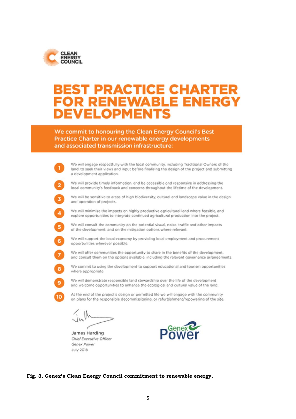

# T PRACTICE CHARTE **ENEWABLE ENERG** × **/ELOPMEN**

We commit to honouring the Clean Energy Council's Best Practice Charter in our renewable energy developments and associated transmission infrastructure:



**Fig. 3. Genex's Clean Energy Council commitment to renewable energy.**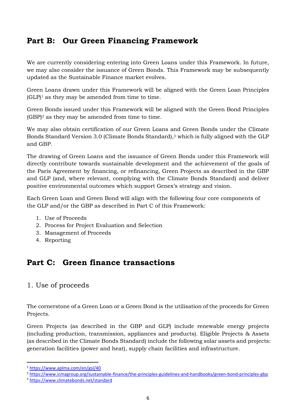## **Part B: Our Green Financing Framework**

We are currently considering entering into Green Loans under this Framework. In future, we may also consider the issuance of Green Bonds. This Framework may be subsequently updated as the Sustainable Finance market evolves.

Green Loans drawn under this Framework will be aligned with the Green Loan Principles  $(GLP)^1$  as they may be amended from time to time.

Green Bonds issued under this Framework will be aligned with the Green Bond Principles (GBP)<sup>2</sup> as they may be amended from time to time.

We may also obtain certification of our Green Loans and Green Bonds under the Climate Bonds Standard Version 3.0 (Climate Bonds Standard), <sup>3</sup> which is fully aligned with the GLP and GBP.

The drawing of Green Loans and the issuance of Green Bonds under this Framework will directly contribute towards sustainable development and the achievement of the goals of the Paris Agreement by financing, or refinancing, Green Projects as described in the GBP and GLP (and, where relevant, complying with the Climate Bonds Standard) and deliver positive environmental outcomes which support Genex's strategy and vision.

Each Green Loan and Green Bond will align with the following four core components of the GLP and/or the GBP as described in Part C of this Framework:

- 1. Use of Proceeds
- 2. Process for Project Evaluation and Selection
- 3. Management of Proceeds
- 4. Reporting

## **Part C: Green finance transactions**

### 1. Use of proceeds

The cornerstone of a Green Loan or a Green Bond is the utilisation of the proceeds for Green Projects.

Green Projects (as described in the GBP and GLP) include renewable energy projects (including production, transmission, appliances and products). Eligible Projects & Assets (as described in the Climate Bonds Standard) include the following solar assets and projects: generation facilities (power and heat), supply chain facilities and infrastructure*.*

**.** 

<sup>1</sup> https://www.aplma.com/en/gsl/40

<sup>2</sup> https://www.icmagroup.org/sustainable-finance/the-principles-guidelines-and-handbooks/green-bond-principles-gbp

<sup>3</sup> <https://www.climatebonds.net/standard>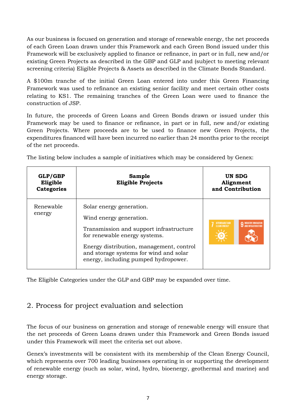As our business is focused on generation and storage of renewable energy, the net proceeds of each Green Loan drawn under this Framework and each Green Bond issued under this Framework will be exclusively applied to finance or refinance, in part or in full, new and/or existing Green Projects as described in the GBP and GLP and (subject to meeting relevant screening criteria) Eligible Projects & Assets as described in the Climate Bonds Standard.

A \$100m tranche of the initial Green Loan entered into under this Green Financing Framework was used to refinance an existing senior facility and meet certain other costs relating to KS1. The remaining tranches of the Green Loan were used to finance the construction of JSP.

In future, the proceeds of Green Loans and Green Bonds drawn or issued under this Framework may be used to finance or refinance, in part or in full, new and/or existing Green Projects. Where proceeds are to be used to finance new Green Projects, the expenditures financed will have been incurred no earlier than 24 months prior to the receipt of the net proceeds.

The listing below includes a sample of initiatives which may be considered by Genex:

| GLP/GBP<br>Eligible<br><b>Categories</b> | Sample<br><b>Eligible Projects</b>                                                                                                                                                                                                                            | UN SDG<br>Alignment<br>and Contribution |
|------------------------------------------|---------------------------------------------------------------------------------------------------------------------------------------------------------------------------------------------------------------------------------------------------------------|-----------------------------------------|
| Renewable<br>energy                      | Solar energy generation.<br>Wind energy generation.<br>Transmission and support infrastructure<br>for renewable energy systems.<br>Energy distribution, management, control<br>and storage systems for wind and solar<br>energy, including pumped hydropower. | AFFORDABLE AND<br>CLEAN ENERGY          |

The Eligible Categories under the GLP and GBP may be expanded over time.

### 2. Process for project evaluation and selection

The focus of our business on generation and storage of renewable energy will ensure that the net proceeds of Green Loans drawn under this Framework and Green Bonds issued under this Framework will meet the criteria set out above.

Genex's investments will be consistent with its membership of the Clean Energy Council, which represents over 700 leading businesses operating in or supporting the development of renewable energy (such as solar, wind, hydro, bioenergy, geothermal and marine) and energy storage.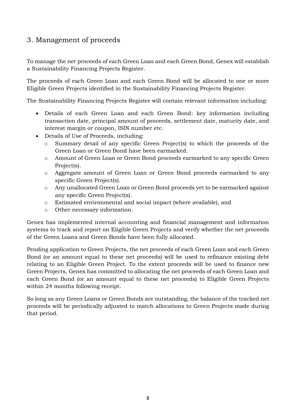### 3. Management of proceeds

To manage the net proceeds of each Green Loan and each Green Bond, Genex will establish a Sustainability Financing Projects Register.

The proceeds of each Green Loan and each Green Bond will be allocated to one or more Eligible Green Projects identified in the Sustainability Financing Projects Register.

The Sustainability Financing Projects Register will contain relevant information including:

- Details of each Green Loan and each Green Bond: key information including transaction date, principal amount of proceeds, settlement date, maturity date, and interest margin or coupon, ISIN number etc.
- Details of Use of Proceeds, including:
	- o Summary detail of any specific Green Project(s) to which the proceeds of the Green Loan or Green Bond have been earmarked.
	- o Amount of Green Loan or Green Bond proceeds earmarked to any specific Green Project(s).
	- o Aggregate amount of Green Loan or Green Bond proceeds earmarked to any specific Green Project(s).
	- o Any unallocated Green Loan or Green Bond proceeds yet to be earmarked against any specific Green Project(s).
	- o Estimated environmental and social impact (where available), and
	- o Other necessary information.

Genex has implemented internal accounting and financial management and information systems to track and report on Eligible Green Projects and verify whether the net proceeds of the Green Loans and Green Bonds have been fully allocated.

Pending application to Green Projects, the net proceeds of each Green Loan and each Green Bond (or an amount equal to these net proceeds) will be used to refinance existing debt relating to an Eligible Green Project. To the extent proceeds will be used to finance new Green Projects, Genex has committed to allocating the net proceeds of each Green Loan and each Green Bond (or an amount equal to these net proceeds) to Eligible Green Projects within 24 months following receipt.

So long as any Green Loans or Green Bonds are outstanding, the balance of the tracked net proceeds will be periodically adjusted to match allocations to Green Projects made during that period.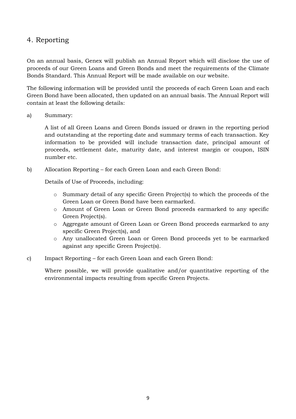### 4. Reporting

On an annual basis, Genex will publish an Annual Report which will disclose the use of proceeds of our Green Loans and Green Bonds and meet the requirements of the Climate Bonds Standard. This Annual Report will be made available on our website.

The following information will be provided until the proceeds of each Green Loan and each Green Bond have been allocated, then updated on an annual basis. The Annual Report will contain at least the following details:

a) Summary:

A list of all Green Loans and Green Bonds issued or drawn in the reporting period and outstanding at the reporting date and summary terms of each transaction. Key information to be provided will include transaction date, principal amount of proceeds, settlement date, maturity date, and interest margin or coupon, ISIN number etc.

b) Allocation Reporting – for each Green Loan and each Green Bond:

Details of Use of Proceeds, including:

- o Summary detail of any specific Green Project(s) to which the proceeds of the Green Loan or Green Bond have been earmarked.
- o Amount of Green Loan or Green Bond proceeds earmarked to any specific Green Project(s).
- o Aggregate amount of Green Loan or Green Bond proceeds earmarked to any specific Green Project(s), and
- o Any unallocated Green Loan or Green Bond proceeds yet to be earmarked against any specific Green Project(s).
- c) Impact Reporting for each Green Loan and each Green Bond:

Where possible, we will provide qualitative and/or quantitative reporting of the environmental impacts resulting from specific Green Projects.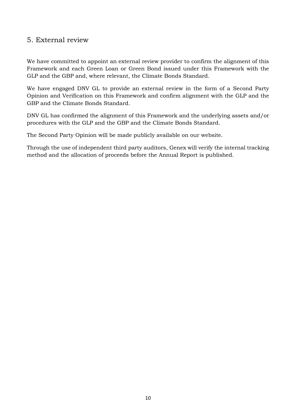### 5. External review

We have committed to appoint an external review provider to confirm the alignment of this Framework and each Green Loan or Green Bond issued under this Framework with the GLP and the GBP and, where relevant, the Climate Bonds Standard.

We have engaged DNV GL to provide an external review in the form of a Second Party Opinion and Verification on this Framework and confirm alignment with the GLP and the GBP and the Climate Bonds Standard.

DNV GL has confirmed the alignment of this Framework and the underlying assets and/or procedures with the GLP and the GBP and the Climate Bonds Standard.

The Second Party Opinion will be made publicly available on our website.

Through the use of independent third party auditors, Genex will verify the internal tracking method and the allocation of proceeds before the Annual Report is published.